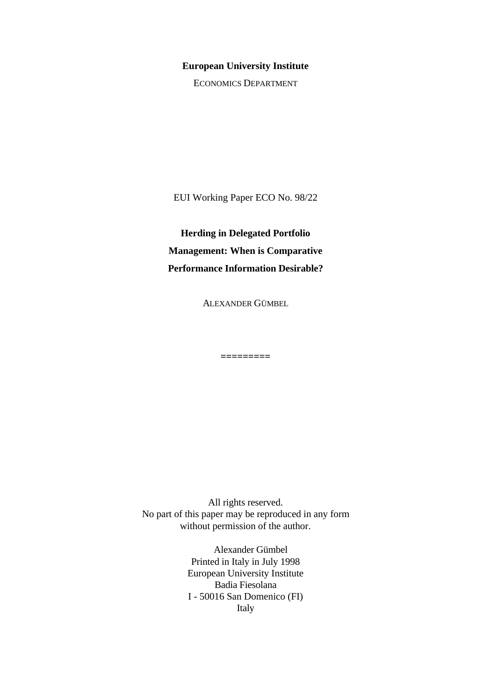#### **European University Institute**

ECONOMICS DEPARTMENT

EUI Working Paper ECO No. 98/22

**Herding in Delegated Portfolio Management: When is Comparative Performance Information Desirable?**

ALEXANDER GÜMBEL

**=========**

All rights reserved. No part of this paper may be reproduced in any form without permission of the author.

> Alexander Gümbel Printed in Italy in July 1998 European University Institute Badia Fiesolana I - 50016 San Domenico (FI) Italy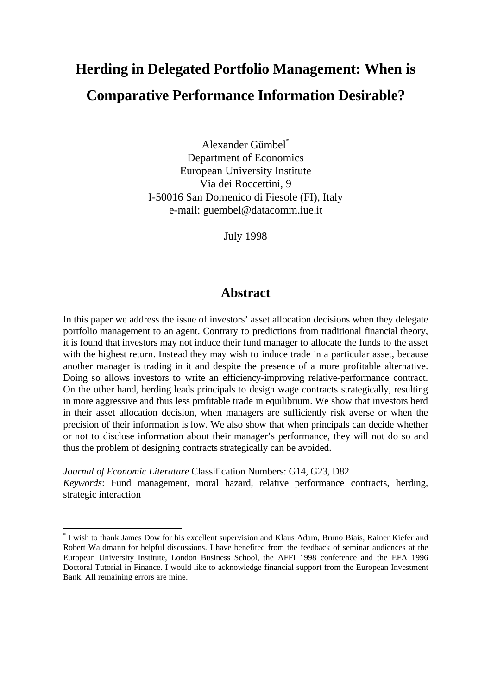# **Herding in Delegated Portfolio Management: When is Comparative Performance Information Desirable?**

Alexander Gümbel\* Department of Economics European University Institute Via dei Roccettini, 9 I-50016 San Domenico di Fiesole (FI), Italy e-mail: guembel@datacomm.iue.it

July 1998

# **Abstract**

In this paper we address the issue of investors' asset allocation decisions when they delegate portfolio management to an agent. Contrary to predictions from traditional financial theory, it is found that investors may not induce their fund manager to allocate the funds to the asset with the highest return. Instead they may wish to induce trade in a particular asset, because another manager is trading in it and despite the presence of a more profitable alternative. Doing so allows investors to write an efficiency-improving relative-performance contract. On the other hand, herding leads principals to design wage contracts strategically, resulting in more aggressive and thus less profitable trade in equilibrium. We show that investors herd in their asset allocation decision, when managers are sufficiently risk averse or when the precision of their information is low. We also show that when principals can decide whether or not to disclose information about their manager's performance, they will not do so and thus the problem of designing contracts strategically can be avoided.

*Journal of Economic Literature* Classification Numbers: G14, G23, D82 *Keywords*: Fund management, moral hazard, relative performance contracts, herding, strategic interaction

<sup>\*</sup> I wish to thank James Dow for his excellent supervision and Klaus Adam, Bruno Biais, Rainer Kiefer and Robert Waldmann for helpful discussions. I have benefited from the feedback of seminar audiences at the European University Institute, London Business School, the AFFI 1998 conference and the EFA 1996 Doctoral Tutorial in Finance. I would like to acknowledge financial support from the European Investment Bank. All remaining errors are mine.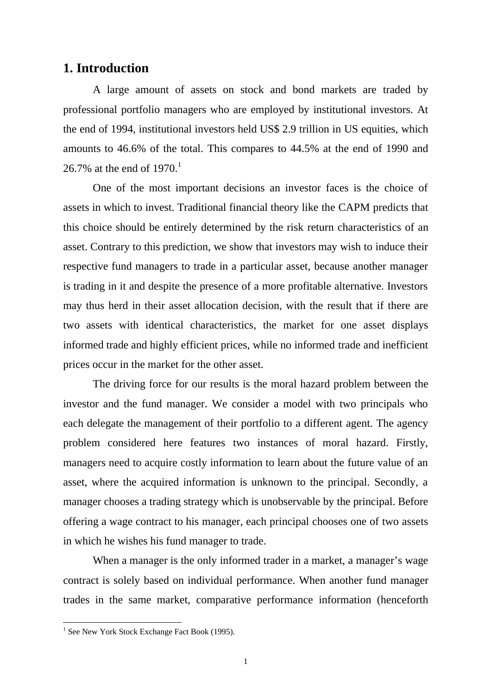## **1. Introduction**

A large amount of assets on stock and bond markets are traded by professional portfolio managers who are employed by institutional investors. At the end of 1994, institutional investors held US\$ 2.9 trillion in US equities, which amounts to 46.6% of the total. This compares to 44.5% at the end of 1990 and 26.7% at the end of  $1970^{11}$ 

One of the most important decisions an investor faces is the choice of assets in which to invest. Traditional financial theory like the CAPM predicts that this choice should be entirely determined by the risk return characteristics of an asset. Contrary to this prediction, we show that investors may wish to induce their respective fund managers to trade in a particular asset, because another manager is trading in it and despite the presence of a more profitable alternative. Investors may thus herd in their asset allocation decision, with the result that if there are two assets with identical characteristics, the market for one asset displays informed trade and highly efficient prices, while no informed trade and inefficient prices occur in the market for the other asset.

The driving force for our results is the moral hazard problem between the investor and the fund manager. We consider a model with two principals who each delegate the management of their portfolio to a different agent. The agency problem considered here features two instances of moral hazard. Firstly, managers need to acquire costly information to learn about the future value of an asset, where the acquired information is unknown to the principal. Secondly, a manager chooses a trading strategy which is unobservable by the principal. Before offering a wage contract to his manager, each principal chooses one of two assets in which he wishes his fund manager to trade.

When a manager is the only informed trader in a market, a manager's wage contract is solely based on individual performance. When another fund manager trades in the same market, comparative performance information (henceforth

<sup>&</sup>lt;sup>1</sup> See New York Stock Exchange Fact Book (1995).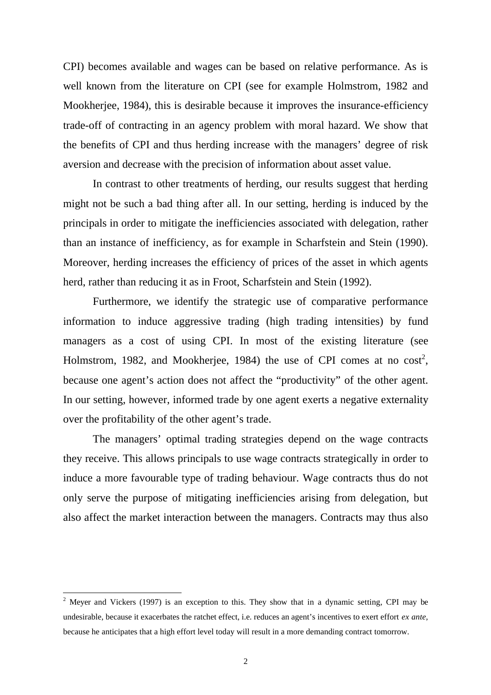CPI) becomes available and wages can be based on relative performance. As is well known from the literature on CPI (see for example Holmstrom, 1982 and Mookherjee, 1984), this is desirable because it improves the insurance-efficiency trade-off of contracting in an agency problem with moral hazard. We show that the benefits of CPI and thus herding increase with the managers' degree of risk aversion and decrease with the precision of information about asset value.

In contrast to other treatments of herding, our results suggest that herding might not be such a bad thing after all. In our setting, herding is induced by the principals in order to mitigate the inefficiencies associated with delegation, rather than an instance of inefficiency, as for example in Scharfstein and Stein (1990). Moreover, herding increases the efficiency of prices of the asset in which agents herd, rather than reducing it as in Froot, Scharfstein and Stein (1992).

Furthermore, we identify the strategic use of comparative performance information to induce aggressive trading (high trading intensities) by fund managers as a cost of using CPI. In most of the existing literature (see Holmstrom, 1982, and Mookherjee, 1984) the use of CPI comes at no  $cost^2$ , because one agent's action does not affect the "productivity" of the other agent. In our setting, however, informed trade by one agent exerts a negative externality over the profitability of the other agent's trade.

The managers' optimal trading strategies depend on the wage contracts they receive. This allows principals to use wage contracts strategically in order to induce a more favourable type of trading behaviour. Wage contracts thus do not only serve the purpose of mitigating inefficiencies arising from delegation, but also affect the market interaction between the managers. Contracts may thus also

<sup>&</sup>lt;sup>2</sup> Meyer and Vickers (1997) is an exception to this. They show that in a dynamic setting, CPI may be undesirable, because it exacerbates the ratchet effect, i.e. reduces an agent's incentives to exert effort *ex ante*, because he anticipates that a high effort level today will result in a more demanding contract tomorrow.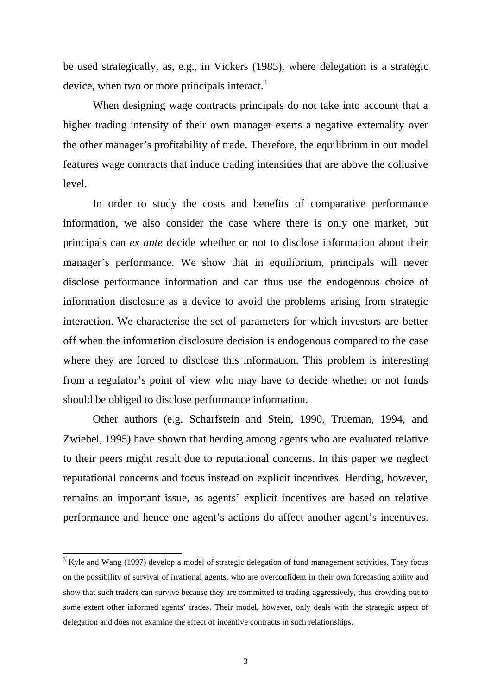be used strategically, as, e.g., in Vickers (1985), where delegation is a strategic device, when two or more principals interact. $3$ 

When designing wage contracts principals do not take into account that a higher trading intensity of their own manager exerts a negative externality over the other manager's profitability of trade. Therefore, the equilibrium in our model features wage contracts that induce trading intensities that are above the collusive level.

In order to study the costs and benefits of comparative performance information, we also consider the case where there is only one market, but principals can *ex ante* decide whether or not to disclose information about their manager's performance. We show that in equilibrium, principals will never disclose performance information and can thus use the endogenous choice of information disclosure as a device to avoid the problems arising from strategic interaction. We characterise the set of parameters for which investors are better off when the information disclosure decision is endogenous compared to the case where they are forced to disclose this information. This problem is interesting from a regulator's point of view who may have to decide whether or not funds should be obliged to disclose performance information.

Other authors (e.g. Scharfstein and Stein, 1990, Trueman, 1994, and Zwiebel, 1995) have shown that herding among agents who are evaluated relative to their peers might result due to reputational concerns. In this paper we neglect reputational concerns and focus instead on explicit incentives. Herding, however, remains an important issue, as agents' explicit incentives are based on relative performance and hence one agent's actions do affect another agent's incentives.

 $3$  Kyle and Wang (1997) develop a model of strategic delegation of fund management activities. They focus on the possibility of survival of irrational agents, who are overconfident in their own forecasting ability and show that such traders can survive because they are committed to trading aggressively, thus crowding out to some extent other informed agents' trades. Their model, however, only deals with the strategic aspect of delegation and does not examine the effect of incentive contracts in such relationships.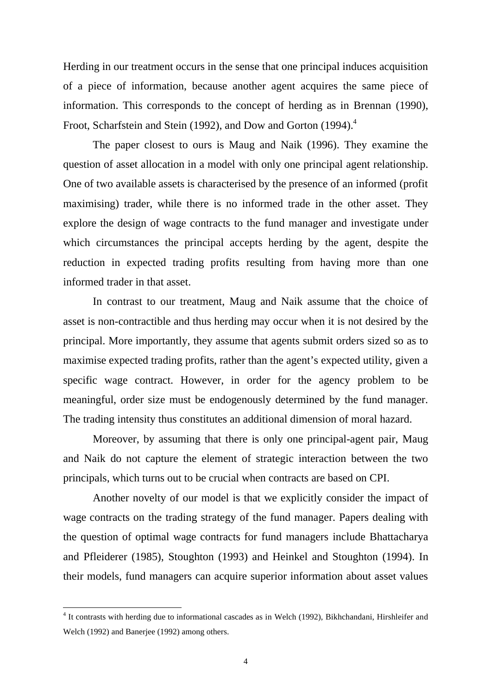Herding in our treatment occurs in the sense that one principal induces acquisition of a piece of information, because another agent acquires the same piece of information. This corresponds to the concept of herding as in Brennan (1990), Froot, Scharfstein and Stein (1992), and Dow and Gorton (1994).<sup>4</sup>

The paper closest to ours is Maug and Naik (1996). They examine the question of asset allocation in a model with only one principal agent relationship. One of two available assets is characterised by the presence of an informed (profit maximising) trader, while there is no informed trade in the other asset. They explore the design of wage contracts to the fund manager and investigate under which circumstances the principal accepts herding by the agent, despite the reduction in expected trading profits resulting from having more than one informed trader in that asset.

In contrast to our treatment, Maug and Naik assume that the choice of asset is non-contractible and thus herding may occur when it is not desired by the principal. More importantly, they assume that agents submit orders sized so as to maximise expected trading profits, rather than the agent's expected utility, given a specific wage contract. However, in order for the agency problem to be meaningful, order size must be endogenously determined by the fund manager. The trading intensity thus constitutes an additional dimension of moral hazard.

Moreover, by assuming that there is only one principal-agent pair, Maug and Naik do not capture the element of strategic interaction between the two principals, which turns out to be crucial when contracts are based on CPI.

Another novelty of our model is that we explicitly consider the impact of wage contracts on the trading strategy of the fund manager. Papers dealing with the question of optimal wage contracts for fund managers include Bhattacharya and Pfleiderer (1985), Stoughton (1993) and Heinkel and Stoughton (1994). In their models, fund managers can acquire superior information about asset values

<sup>&</sup>lt;sup>4</sup> It contrasts with herding due to informational cascades as in Welch (1992), Bikhchandani, Hirshleifer and Welch (1992) and Banerjee (1992) among others.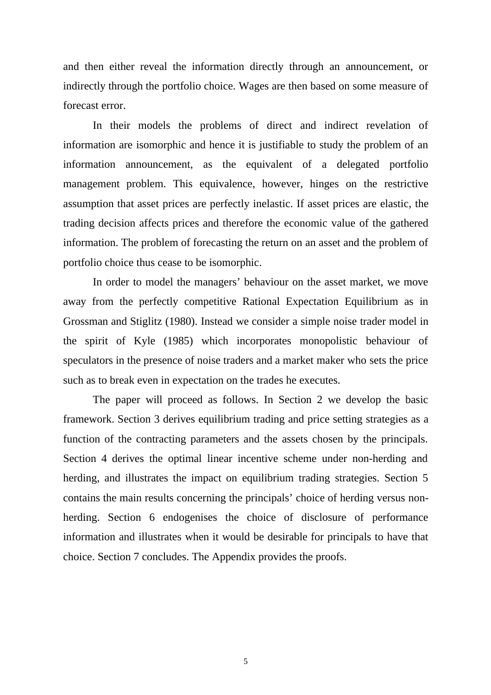and then either reveal the information directly through an announcement, or indirectly through the portfolio choice. Wages are then based on some measure of forecast error.

In their models the problems of direct and indirect revelation of information are isomorphic and hence it is justifiable to study the problem of an information announcement, as the equivalent of a delegated portfolio management problem. This equivalence, however, hinges on the restrictive assumption that asset prices are perfectly inelastic. If asset prices are elastic, the trading decision affects prices and therefore the economic value of the gathered information. The problem of forecasting the return on an asset and the problem of portfolio choice thus cease to be isomorphic.

In order to model the managers' behaviour on the asset market, we move away from the perfectly competitive Rational Expectation Equilibrium as in Grossman and Stiglitz (1980). Instead we consider a simple noise trader model in the spirit of Kyle (1985) which incorporates monopolistic behaviour of speculators in the presence of noise traders and a market maker who sets the price such as to break even in expectation on the trades he executes.

The paper will proceed as follows. In Section 2 we develop the basic framework. Section 3 derives equilibrium trading and price setting strategies as a function of the contracting parameters and the assets chosen by the principals. Section 4 derives the optimal linear incentive scheme under non-herding and herding, and illustrates the impact on equilibrium trading strategies. Section 5 contains the main results concerning the principals' choice of herding versus nonherding. Section 6 endogenises the choice of disclosure of performance information and illustrates when it would be desirable for principals to have that choice. Section 7 concludes. The Appendix provides the proofs.

5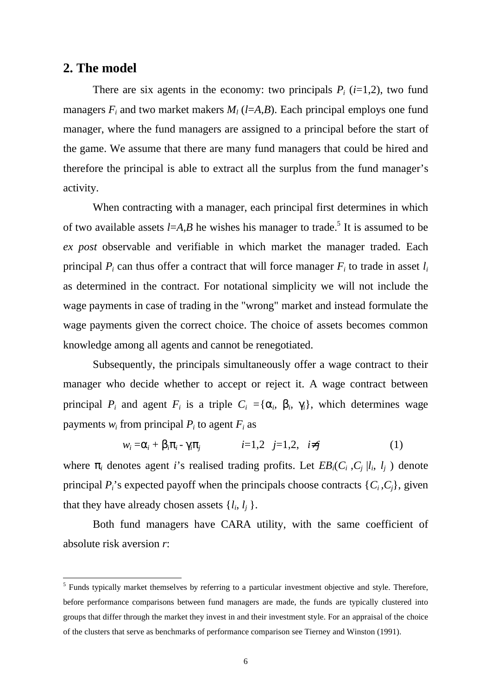### **2. The model**

 $\overline{a}$ 

There are six agents in the economy: two principals  $P_i$  ( $i=1,2$ ), two fund managers  $F_i$  and two market makers  $M_l$  (*l*=*A*,*B*). Each principal employs one fund manager, where the fund managers are assigned to a principal before the start of the game. We assume that there are many fund managers that could be hired and therefore the principal is able to extract all the surplus from the fund manager's activity.

When contracting with a manager, each principal first determines in which of two available assets  $l = A, B$  he wishes his manager to trade.<sup>5</sup> It is assumed to be *ex post* observable and verifiable in which market the manager traded. Each principal  $P_i$  can thus offer a contract that will force manager  $F_i$  to trade in asset  $l_i$ as determined in the contract. For notational simplicity we will not include the wage payments in case of trading in the "wrong" market and instead formulate the wage payments given the correct choice. The choice of assets becomes common knowledge among all agents and cannot be renegotiated.

Subsequently, the principals simultaneously offer a wage contract to their manager who decide whether to accept or reject it. A wage contract between principal  $P_i$  and agent  $F_i$  is a triple  $C_i = {\alpha_i, \beta_i, \gamma_i}$ , which determines wage payments  $w_i$  from principal  $P_i$  to agent  $F_i$  as

$$
w_i = \alpha_i + \beta_i \pi_i - \gamma_i \pi_j \qquad i=1,2 \quad j=1,2, \quad i \neq j \qquad (1)
$$

where  $\pi_i$  denotes agent *i*'s realised trading profits. Let  $EB_i(C_i, C_i | l_i, l_i)$  denote principal  $P_i$ 's expected payoff when the principals choose contracts  $\{C_i, C_j\}$ , given that they have already chosen assets  $\{l_i, l_j\}$ .

Both fund managers have CARA utility, with the same coefficient of absolute risk aversion *r*:

<sup>&</sup>lt;sup>5</sup> Funds typically market themselves by referring to a particular investment objective and style. Therefore, before performance comparisons between fund managers are made, the funds are typically clustered into groups that differ through the market they invest in and their investment style. For an appraisal of the choice of the clusters that serve as benchmarks of performance comparison see Tierney and Winston (1991).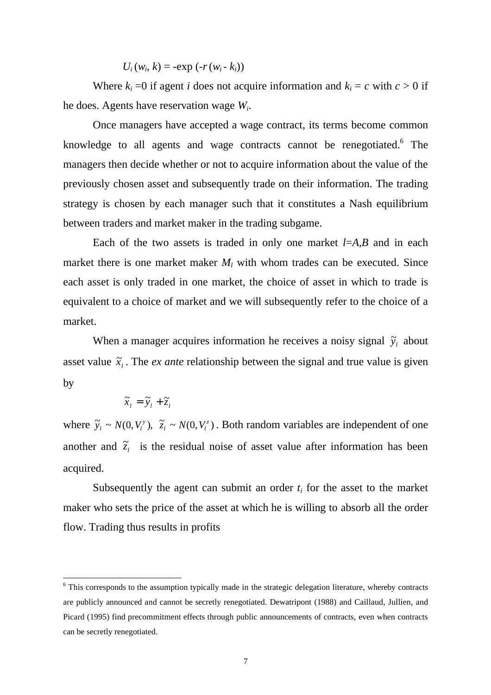$U_i(w_i, k) = -e^{k} \prod_{i=1}^{n} (w_i - k_i)$ 

Where  $k_i = 0$  if agent *i* does not acquire information and  $k_i = c$  with  $c > 0$  if he does. Agents have reservation wage *Wi*.

Once managers have accepted a wage contract, its terms become common knowledge to all agents and wage contracts cannot be renegotiated.<sup>6</sup> The managers then decide whether or not to acquire information about the value of the previously chosen asset and subsequently trade on their information. The trading strategy is chosen by each manager such that it constitutes a Nash equilibrium between traders and market maker in the trading subgame.

Each of the two assets is traded in only one market *l*=*A,B* and in each market there is one market maker  $M_l$  with whom trades can be executed. Since each asset is only traded in one market, the choice of asset in which to trade is equivalent to a choice of market and we will subsequently refer to the choice of a market.

When a manager acquires information he receives a noisy signal  $\tilde{y}_l$  about asset value  $\tilde{x}_i$ . The *ex ante* relationship between the signal and true value is given by

$$
\widetilde{x}_l = \widetilde{y}_l + \widetilde{z}_l
$$

 $\overline{a}$ 

where  $\tilde{y}_l \sim N(0, V_l^y)$ ,  $\tilde{z}_l \sim N(0, V_l^z)$  $0, V_l^y$ ),  $\tilde{z}_l \sim N(0, V_l^z)$ . Both random variables are independent of one another and  $\tilde{z}_l$  is the residual noise of asset value after information has been acquired.

Subsequently the agent can submit an order  $t_i$  for the asset to the market maker who sets the price of the asset at which he is willing to absorb all the order flow. Trading thus results in profits

<sup>&</sup>lt;sup>6</sup> This corresponds to the assumption typically made in the strategic delegation literature, whereby contracts are publicly announced and cannot be secretly renegotiated. Dewatripont (1988) and Caillaud, Jullien, and Picard (1995) find precommitment effects through public announcements of contracts, even when contracts can be secretly renegotiated.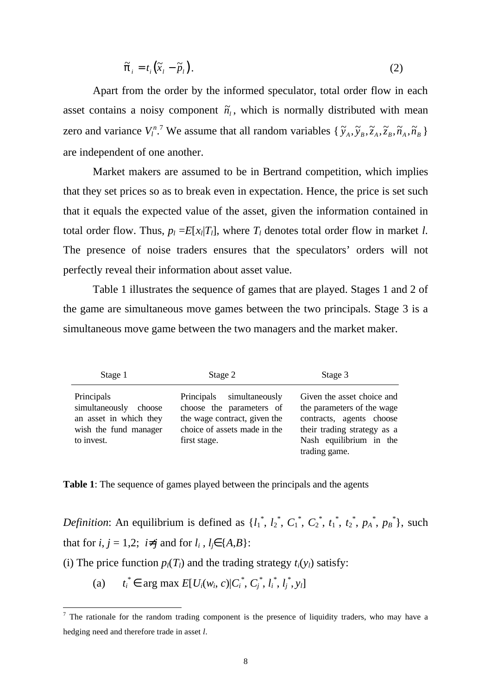$$
\tilde{\pi}_i = t_i \left( \tilde{x}_i - \tilde{p}_i \right). \tag{2}
$$

Apart from the order by the informed speculator, total order flow in each asset contains a noisy component  $\tilde{n}_l$ , which is normally distributed with mean zero and variance  $V_l^{n}$ .<sup>7</sup> We assume that all random variables  $\{\tilde{y}_A, \tilde{y}_B, \tilde{z}_A, \tilde{z}_B, \tilde{n}_A, \tilde{n}_B\}$ are independent of one another.

Market makers are assumed to be in Bertrand competition, which implies that they set prices so as to break even in expectation. Hence, the price is set such that it equals the expected value of the asset, given the information contained in total order flow. Thus,  $p_l = E[x_l|T_l]$ , where  $T_l$  denotes total order flow in market *l*. The presence of noise traders ensures that the speculators' orders will not perfectly reveal their information about asset value.

Table 1 illustrates the sequence of games that are played. Stages 1 and 2 of the game are simultaneous move games between the two principals. Stage 3 is a simultaneous move game between the two managers and the market maker.

| Stage 1                                                                                                 | Stage 2                                                                                                                               | Stage 3                                                                                                                                                         |
|---------------------------------------------------------------------------------------------------------|---------------------------------------------------------------------------------------------------------------------------------------|-----------------------------------------------------------------------------------------------------------------------------------------------------------------|
| Principals<br>simultaneously<br>choose<br>an asset in which they<br>wish the fund manager<br>to invest. | Principals simultaneously<br>choose the parameters of<br>the wage contract, given the<br>choice of assets made in the<br>first stage. | Given the asset choice and<br>the parameters of the wage<br>contracts, agents choose<br>their trading strategy as a<br>Nash equilibrium in the<br>trading game. |

**Table 1**: The sequence of games played between the principals and the agents

*Definition*: An equilibrium is defined as  $\{l_1^*, l_2^*, C_1^*, C_2^*, t_1^*, t_2^*, p_A^*, p_B^*\}$ , such that for  $i, j = 1,2$ ;  $i\neq j$  and for  $l_i, l_j \in \{A,B\}$ :

(i) The price function  $p_l(T_l)$  and the trading strategy  $t_i(y_l)$  satisfy:

(a) *ti*  $^*$  ∈ arg max  $E[U_i(w_i, c)|C_i^*, C_j^*, l_i^*, l_j^*, y_l]$ 

<sup>&</sup>lt;sup>7</sup> The rationale for the random trading component is the presence of liquidity traders, who may have a hedging need and therefore trade in asset *l*.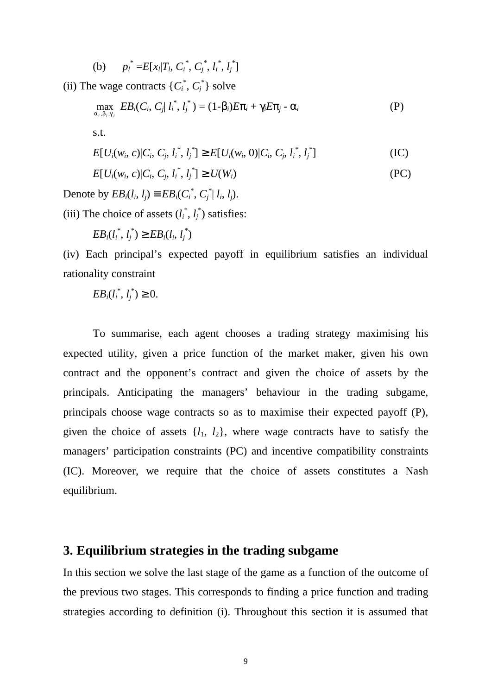(b)  $p_i^* = E[x_i|T_i, C_i^*, C_j^*, l_i^*, l_j^*]$ 

(ii) The wage contracts  $\{C_i^*, C_j^*\}$  solve

$$
\max_{\alpha_i, \beta_i, \gamma_i} EB_i(C_i, C_j | l_i^*, l_j^*) = (1-\beta_i)E\pi_i + \gamma_i E\pi_j - \alpha_i
$$
\n
$$
\text{s.t.} \tag{P}
$$

$$
E[U_i(w_i, c)|C_i, C_j, l_i^*, l_j^*] \ge E[U_i(w_i, 0)|C_i, C_j, l_i^*, l_j^*]
$$
\n(IC)

$$
E[U_i(w_i, c)|C_i, C_j, l_i^*, l_j^*] \ge U(W_i)
$$
\n(PC)

Denote by  $EB_i(l_i, l_j) \equiv EB_i(C_i^*, C_j^* | l_i, l_j).$ 

(iii) The choice of assets  $(l_i^*, l_j^*)$  satisfies:

$$
EB_i(l_i^*, l_j^*) \geq EB_i(l_i, l_j^*)
$$

(iv) Each principal's expected payoff in equilibrium satisfies an individual rationality constraint

$$
EB_i(l_i^*, l_j^*) \geq 0.
$$

To summarise, each agent chooses a trading strategy maximising his expected utility, given a price function of the market maker, given his own contract and the opponent's contract and given the choice of assets by the principals. Anticipating the managers' behaviour in the trading subgame, principals choose wage contracts so as to maximise their expected payoff (P), given the choice of assets  $\{l_1, l_2\}$ , where wage contracts have to satisfy the managers' participation constraints (PC) and incentive compatibility constraints (IC). Moreover, we require that the choice of assets constitutes a Nash equilibrium.

## **3. Equilibrium strategies in the trading subgame**

In this section we solve the last stage of the game as a function of the outcome of the previous two stages. This corresponds to finding a price function and trading strategies according to definition (i). Throughout this section it is assumed that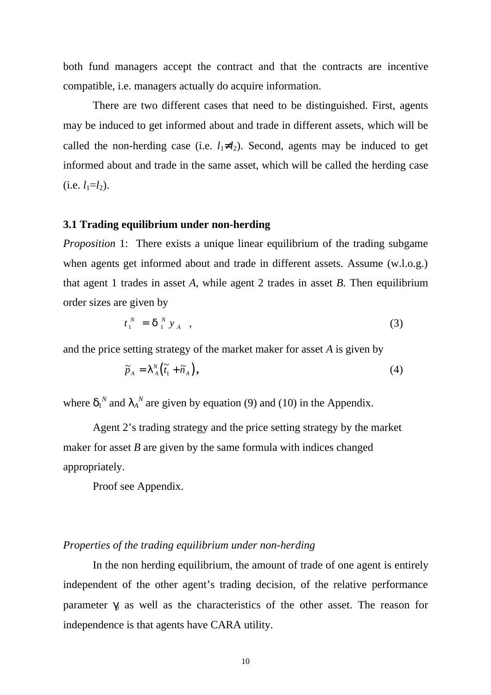both fund managers accept the contract and that the contracts are incentive compatible, i.e. managers actually do acquire information.

There are two different cases that need to be distinguished. First, agents may be induced to get informed about and trade in different assets, which will be called the non-herding case (i.e.  $l_1 \neq l_2$ ). Second, agents may be induced to get informed about and trade in the same asset, which will be called the herding case  $(i.e. l_1=l_2).$ 

#### **3.1 Trading equilibrium under non-herding**

*Proposition* 1: There exists a unique linear equilibrium of the trading subgame when agents get informed about and trade in different assets. Assume (w.l.o.g.) that agent 1 trades in asset *A*, while agent 2 trades in asset *B*. Then equilibrium order sizes are given by

$$
t_1^N = \delta_1^N y_A \quad , \tag{3}
$$

and the price setting strategy of the market maker for asset *A* is given by

$$
\widetilde{p}_A = \lambda_A^N \left( \widetilde{t}_1 + \widetilde{n}_A \right), \tag{4}
$$

where  $\delta_1^N$  and  $\lambda_A^N$  are given by equation (9) and (10) in the Appendix.

Agent 2's trading strategy and the price setting strategy by the market maker for asset  $B$  are given by the same formula with indices changed appropriately.

Proof see Appendix.

#### *Properties of the trading equilibrium under non-herding*

In the non herding equilibrium, the amount of trade of one agent is entirely independent of the other agent's trading decision, of the relative performance parameter  $\gamma$  as well as the characteristics of the other asset. The reason for independence is that agents have CARA utility.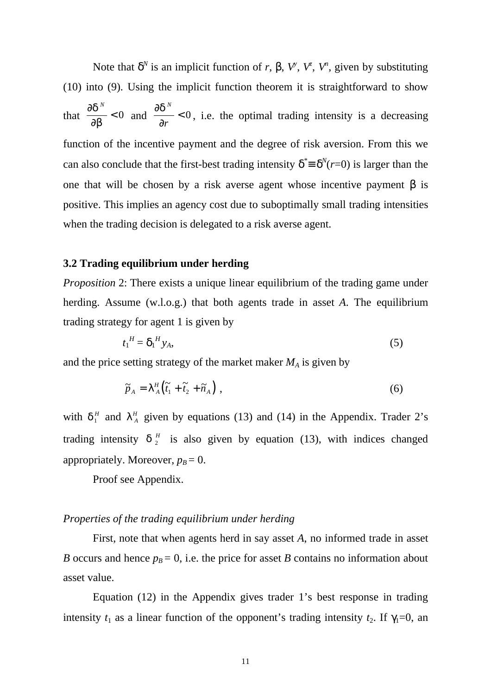Note that  $\delta^N$  is an implicit function of *r*, β,  $V^{\flat}$ ,  $V^{\sharp}$ ,  $V^{\sharp}$ , given by substituting (10) into (9). Using the implicit function theorem it is straightforward to show that  $\frac{\partial \delta}{\partial x}$ ∂β  $\frac{N}{n}$  < 0 and  $\frac{\partial \delta}{\partial n}$ ∂ *N r*  $< 0$ , i.e. the optimal trading intensity is a decreasing function of the incentive payment and the degree of risk aversion. From this we can also conclude that the first-best trading intensity  $\delta^* = \delta^N(r=0)$  is larger than the one that will be chosen by a risk averse agent whose incentive payment  $\beta$  is positive. This implies an agency cost due to suboptimally small trading intensities when the trading decision is delegated to a risk averse agent.

#### **3.2 Trading equilibrium under herding**

*Proposition* 2: There exists a unique linear equilibrium of the trading game under herding. Assume (w.l.o.g.) that both agents trade in asset *A*. The equilibrium trading strategy for agent 1 is given by

$$
t_1^H = \delta_1^H y_A,\tag{5}
$$

and the price setting strategy of the market maker  $M_A$  is given by

$$
\widetilde{p}_A = \lambda^H_A \left( \widetilde{t}_1 + \widetilde{t}_2 + \widetilde{n}_A \right) , \tag{6}
$$

with  $\delta_1^H$  and  $\lambda_A^H$  given by equations (13) and (14) in the Appendix. Trader 2's trading intensity  $\delta_2^H$  is also given by equation (13), with indices changed appropriately. Moreover,  $p_B = 0$ .

Proof see Appendix.

#### *Properties of the trading equilibrium under herding*

First, note that when agents herd in say asset *A*, no informed trade in asset *B* occurs and hence  $p_B = 0$ , i.e. the price for asset *B* contains no information about asset value.

Equation (12) in the Appendix gives trader 1's best response in trading intensity  $t_1$  as a linear function of the opponent's trading intensity  $t_2$ . If  $\gamma_1=0$ , an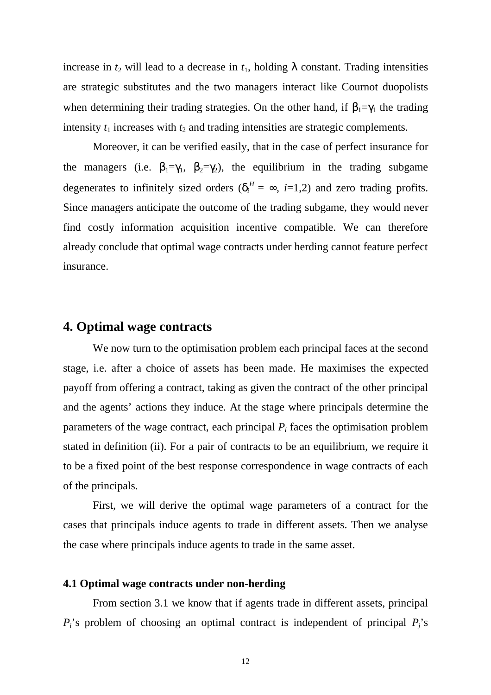increase in  $t_2$  will lead to a decrease in  $t_1$ , holding  $\lambda$  constant. Trading intensities are strategic substitutes and the two managers interact like Cournot duopolists when determining their trading strategies. On the other hand, if  $\beta_1 = \gamma_1$  the trading intensity  $t_1$  increases with  $t_2$  and trading intensities are strategic complements.

Moreover, it can be verified easily, that in the case of perfect insurance for the managers (i.e.  $\beta_1 = \gamma_1$ ,  $\beta_2 = \gamma_2$ ), the equilibrium in the trading subgame degenerates to infinitely sized orders  $(\delta_i^H = \infty, i=1,2)$  and zero trading profits. Since managers anticipate the outcome of the trading subgame, they would never find costly information acquisition incentive compatible. We can therefore already conclude that optimal wage contracts under herding cannot feature perfect insurance.

# **4. Optimal wage contracts**

We now turn to the optimisation problem each principal faces at the second stage, i.e. after a choice of assets has been made. He maximises the expected payoff from offering a contract, taking as given the contract of the other principal and the agents' actions they induce. At the stage where principals determine the parameters of the wage contract, each principal  $P_i$  faces the optimisation problem stated in definition (ii). For a pair of contracts to be an equilibrium, we require it to be a fixed point of the best response correspondence in wage contracts of each of the principals.

First, we will derive the optimal wage parameters of a contract for the cases that principals induce agents to trade in different assets. Then we analyse the case where principals induce agents to trade in the same asset.

#### **4.1 Optimal wage contracts under non-herding**

From section 3.1 we know that if agents trade in different assets, principal *Pi*'s problem of choosing an optimal contract is independent of principal *Pj*'s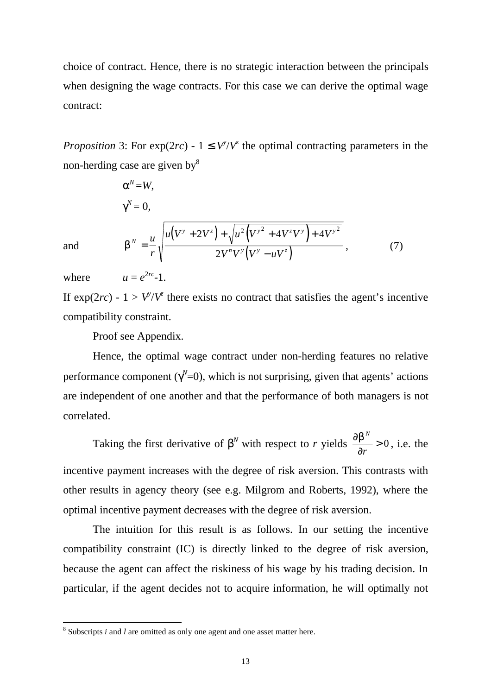choice of contract. Hence, there is no strategic interaction between the principals when designing the wage contracts. For this case we can derive the optimal wage contract:

*Proposition* 3: For  $exp(2rc) - 1 \leq V^{\gamma}/V^{\zeta}$  the optimal contracting parameters in the non-herding case are given by<sup>8</sup>

$$
\alpha^{N} = W,
$$
  
\n
$$
\gamma^{N} = 0,
$$
  
\n
$$
\beta^{N} = \frac{u}{r} \sqrt{\frac{u(V^{y} + 2V^{z}) + \sqrt{u^{2}(V^{y^{2}} + 4V^{z}V^{y}) + 4V^{y^{2}}}}{2V^{n}V^{y}(V^{y} - uV^{z})}}},
$$
\n(7)

and

 $where$  $u - e^{2rc} - 1$ .

If  $exp(2rc) - 1 > V^{\gamma}/V^{\gamma}$  there exists no contract that satisfies the agent's incentive compatibility constraint.

Proof see Appendix.

Hence, the optimal wage contract under non-herding features no relative performance component ( $\gamma$ <sup>N</sup>=0), which is not surprising, given that agents' actions are independent of one another and that the performance of both managers is not correlated.

Taking the first derivative of  $\beta^N$  with respect to *r* yields  $\frac{\partial \beta}{\partial \beta}$ ∂ *N r*  $> 0$ , i.e. the incentive payment increases with the degree of risk aversion. This contrasts with other results in agency theory (see e.g. Milgrom and Roberts, 1992), where the optimal incentive payment decreases with the degree of risk aversion.

The intuition for this result is as follows. In our setting the incentive compatibility constraint (IC) is directly linked to the degree of risk aversion, because the agent can affect the riskiness of his wage by his trading decision. In particular, if the agent decides not to acquire information, he will optimally not

<sup>&</sup>lt;sup>8</sup> Subscripts *i* and *l* are omitted as only one agent and one asset matter here.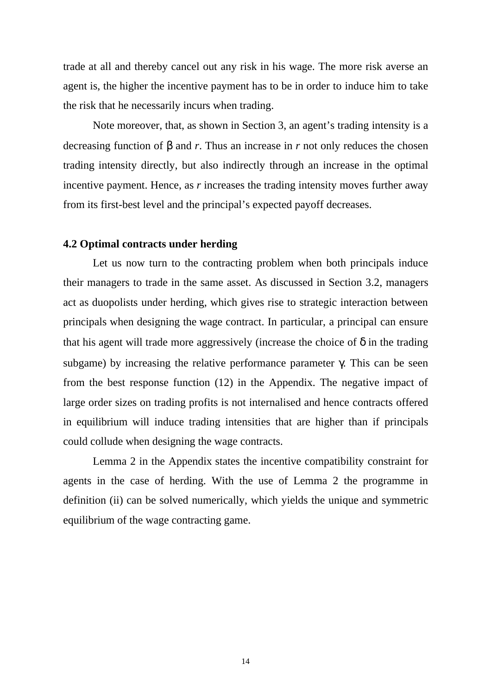trade at all and thereby cancel out any risk in his wage. The more risk averse an agent is, the higher the incentive payment has to be in order to induce him to take the risk that he necessarily incurs when trading.

Note moreover, that, as shown in Section 3, an agent's trading intensity is a decreasing function of β and *r*. Thus an increase in *r* not only reduces the chosen trading intensity directly, but also indirectly through an increase in the optimal incentive payment. Hence, as *r* increases the trading intensity moves further away from its first-best level and the principal's expected payoff decreases.

#### **4.2 Optimal contracts under herding**

Let us now turn to the contracting problem when both principals induce their managers to trade in the same asset. As discussed in Section 3.2, managers act as duopolists under herding, which gives rise to strategic interaction between principals when designing the wage contract. In particular, a principal can ensure that his agent will trade more aggressively (increase the choice of  $\delta$  in the trading subgame) by increasing the relative performance parameter  $\gamma$ . This can be seen from the best response function (12) in the Appendix. The negative impact of large order sizes on trading profits is not internalised and hence contracts offered in equilibrium will induce trading intensities that are higher than if principals could collude when designing the wage contracts.

Lemma 2 in the Appendix states the incentive compatibility constraint for agents in the case of herding. With the use of Lemma 2 the programme in definition (ii) can be solved numerically, which yields the unique and symmetric equilibrium of the wage contracting game.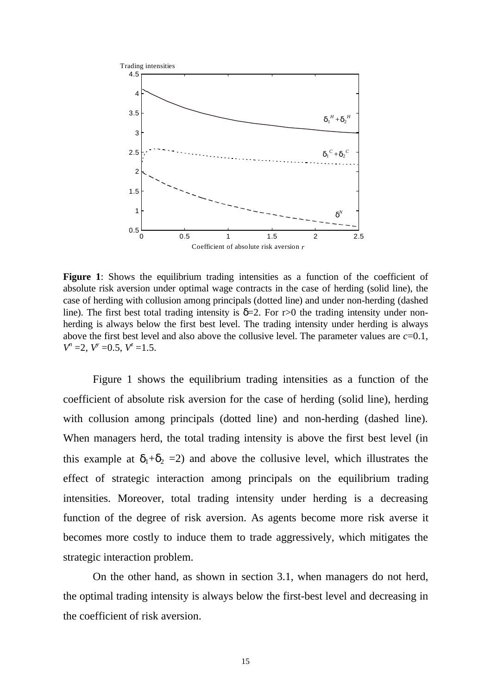

**Figure 1**: Shows the equilibrium trading intensities as a function of the coefficient of absolute risk aversion under optimal wage contracts in the case of herding (solid line), the case of herding with collusion among principals (dotted line) and under non-herding (dashed line). The first best total trading intensity is  $\delta = 2$ . For r>0 the trading intensity under nonherding is always below the first best level. The trading intensity under herding is always above the first best level and also above the collusive level. The parameter values are *c*=0.1,  $V^n = 2$ ,  $V^y = 0.5$ ,  $V^z = 1.5$ .

Figure 1 shows the equilibrium trading intensities as a function of the coefficient of absolute risk aversion for the case of herding (solid line), herding with collusion among principals (dotted line) and non-herding (dashed line). When managers herd, the total trading intensity is above the first best level (in this example at  $\delta_1+\delta_2 = 2$ ) and above the collusive level, which illustrates the effect of strategic interaction among principals on the equilibrium trading intensities. Moreover, total trading intensity under herding is a decreasing function of the degree of risk aversion. As agents become more risk averse it becomes more costly to induce them to trade aggressively, which mitigates the strategic interaction problem.

On the other hand, as shown in section 3.1, when managers do not herd, the optimal trading intensity is always below the first-best level and decreasing in the coefficient of risk aversion.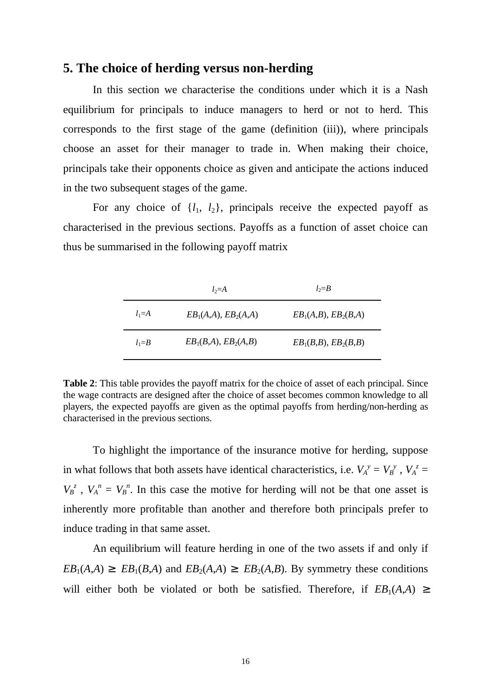## **5. The choice of herding versus non-herding**

In this section we characterise the conditions under which it is a Nash equilibrium for principals to induce managers to herd or not to herd. This corresponds to the first stage of the game (definition (iii)), where principals choose an asset for their manager to trade in. When making their choice, principals take their opponents choice as given and anticipate the actions induced in the two subsequent stages of the game.

For any choice of  $\{l_1, l_2\}$ , principals receive the expected payoff as characterised in the previous sections. Payoffs as a function of asset choice can thus be summarised in the following payoff matrix

|           | $l_2 = A$              | $l_2 = B$            |
|-----------|------------------------|----------------------|
| $l_1 = A$ | $EB_1(A,A), EB_2(A,A)$ | $EB1(A,B), EB2(B,A)$ |
| $l_1 = B$ | $EB_1(B,A), EB_2(A,B)$ | $EB1(B,B), EB2(B,B)$ |

**Table 2**: This table provides the payoff matrix for the choice of asset of each principal. Since the wage contracts are designed after the choice of asset becomes common knowledge to all players, the expected payoffs are given as the optimal payoffs from herding/non-herding as characterised in the previous sections.

To highlight the importance of the insurance motive for herding, suppose in what follows that both assets have identical characteristics, i.e.  $V_A^y = V_B^y$ ,  $V_A^z =$  $V_B^z$ ,  $V_A^h = V_B^h$ . In this case the motive for herding will not be that one asset is inherently more profitable than another and therefore both principals prefer to induce trading in that same asset.

An equilibrium will feature herding in one of the two assets if and only if  $EB_1(A,A) \geq EB_1(B,A)$  and  $EB_2(A,A) \geq EB_2(A,B)$ . By symmetry these conditions will either both be violated or both be satisfied. Therefore, if  $EB_1(A,A) \geq$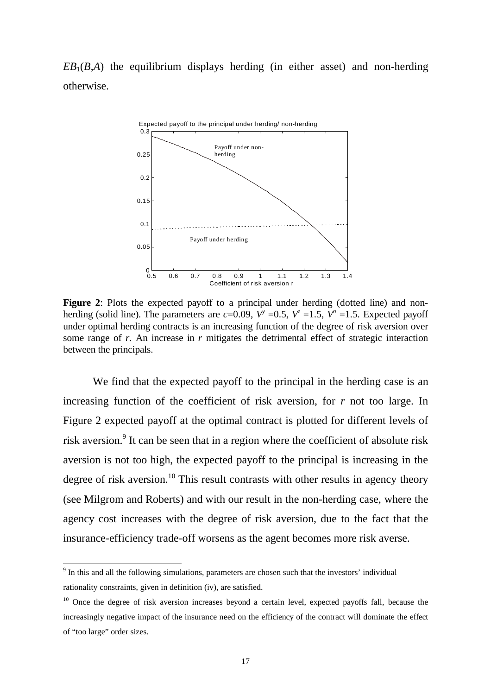$EB_1(B,A)$  the equilibrium displays herding (in either asset) and non-herding otherwise.



Figure 2: Plots the expected payoff to a principal under herding (dotted line) and nonherding (solid line). The parameters are  $c=0.09$ ,  $V^{\nu} = 0.5$ ,  $V^{\nu} = 1.5$ ,  $V^{\nu} = 1.5$ . Expected payoff under optimal herding contracts is an increasing function of the degree of risk aversion over some range of *r*. An increase in *r* mitigates the detrimental effect of strategic interaction between the principals.

We find that the expected payoff to the principal in the herding case is an increasing function of the coefficient of risk aversion, for *r* not too large. In Figure 2 expected payoff at the optimal contract is plotted for different levels of risk aversion.<sup>9</sup> It can be seen that in a region where the coefficient of absolute risk aversion is not too high, the expected payoff to the principal is increasing in the degree of risk aversion.<sup>10</sup> This result contrasts with other results in agency theory (see Milgrom and Roberts) and with our result in the non-herding case, where the agency cost increases with the degree of risk aversion, due to the fact that the insurance-efficiency trade-off worsens as the agent becomes more risk averse.

<sup>&</sup>lt;sup>9</sup> In this and all the following simulations, parameters are chosen such that the investors' individual rationality constraints, given in definition (iv), are satisfied.

<sup>&</sup>lt;sup>10</sup> Once the degree of risk aversion increases beyond a certain level, expected payoffs fall, because the increasingly negative impact of the insurance need on the efficiency of the contract will dominate the effect of "too large" order sizes.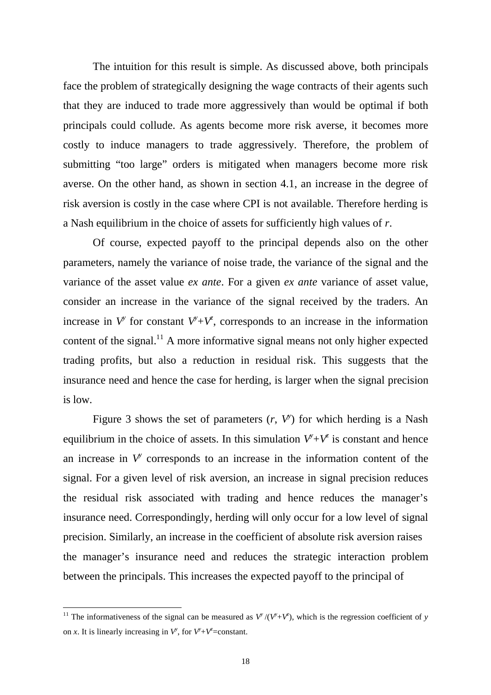The intuition for this result is simple. As discussed above, both principals face the problem of strategically designing the wage contracts of their agents such that they are induced to trade more aggressively than would be optimal if both principals could collude. As agents become more risk averse, it becomes more costly to induce managers to trade aggressively. Therefore, the problem of submitting "too large" orders is mitigated when managers become more risk averse. On the other hand, as shown in section 4.1, an increase in the degree of risk aversion is costly in the case where CPI is not available. Therefore herding is a Nash equilibrium in the choice of assets for sufficiently high values of *r*.

Of course, expected payoff to the principal depends also on the other parameters, namely the variance of noise trade, the variance of the signal and the variance of the asset value *ex ante*. For a given *ex ante* variance of asset value, consider an increase in the variance of the signal received by the traders. An increase in  $V^y$  for constant  $V^y + V^z$ , corresponds to an increase in the information content of the signal.<sup>11</sup> A more informative signal means not only higher expected trading profits, but also a reduction in residual risk. This suggests that the insurance need and hence the case for herding, is larger when the signal precision is low.

Figure 3 shows the set of parameters  $(r, V^{\prime})$  for which herding is a Nash equilibrium in the choice of assets. In this simulation  $V^{\flat}+V^{\sharp}$  is constant and hence an increase in  $V^y$  corresponds to an increase in the information content of the signal. For a given level of risk aversion, an increase in signal precision reduces the residual risk associated with trading and hence reduces the manager's insurance need. Correspondingly, herding will only occur for a low level of signal precision. Similarly, an increase in the coefficient of absolute risk aversion raises the manager's insurance need and reduces the strategic interaction problem between the principals. This increases the expected payoff to the principal of

<sup>&</sup>lt;sup>11</sup> The informativeness of the signal can be measured as  $V^{\prime\prime}/(V^{\prime}+V^{\prime})$ , which is the regression coefficient of *y* on *x*. It is linearly increasing in  $V^{\flat}$ , for  $V^{\flat}+V^{\sharp}$ =constant.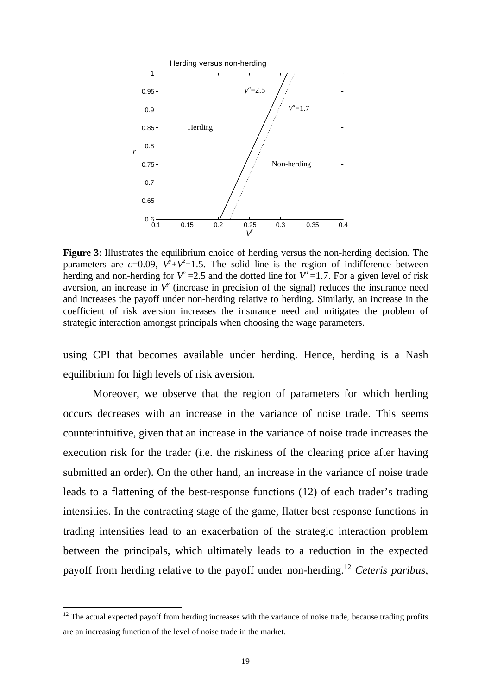

**Figure 3**: Illustrates the equilibrium choice of herding versus the non-herding decision. The parameters are  $c=0.09$ ,  $V^{\prime}+V^{\prime}=1.5$ . The solid line is the region of indifference between herding and non-herding for  $V^n = 2.5$  and the dotted line for  $V^n = 1.7$ . For a given level of risk aversion, an increase in  $V^{\prime}$  (increase in precision of the signal) reduces the insurance need and increases the payoff under non-herding relative to herding. Similarly, an increase in the coefficient of risk aversion increases the insurance need and mitigates the problem of strategic interaction amongst principals when choosing the wage parameters.

using CPI that becomes available under herding. Hence, herding is a Nash equilibrium for high levels of risk aversion.

Moreover, we observe that the region of parameters for which herding occurs decreases with an increase in the variance of noise trade. This seems counterintuitive, given that an increase in the variance of noise trade increases the execution risk for the trader (i.e. the riskiness of the clearing price after having submitted an order). On the other hand, an increase in the variance of noise trade leads to a flattening of the best-response functions (12) of each trader's trading intensities. In the contracting stage of the game, flatter best response functions in trading intensities lead to an exacerbation of the strategic interaction problem between the principals, which ultimately leads to a reduction in the expected payoff from herding relative to the payoff under non-herding.<sup>12</sup> *Ceteris paribus*,

 $12$  The actual expected payoff from herding increases with the variance of noise trade, because trading profits are an increasing function of the level of noise trade in the market.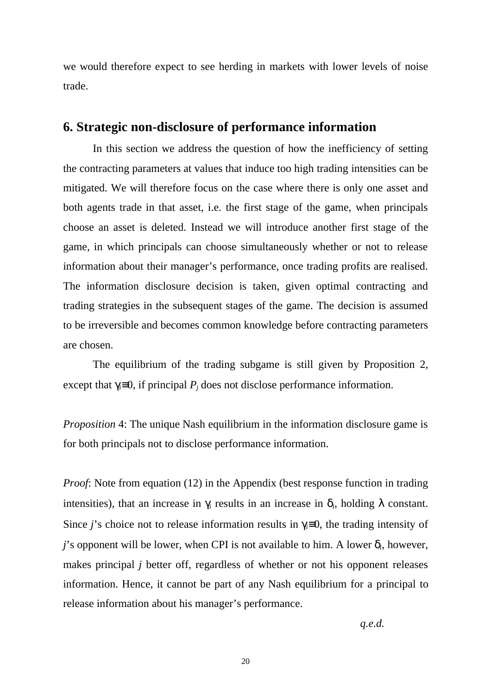we would therefore expect to see herding in markets with lower levels of noise trade.

# **6. Strategic non-disclosure of performance information**

In this section we address the question of how the inefficiency of setting the contracting parameters at values that induce too high trading intensities can be mitigated. We will therefore focus on the case where there is only one asset and both agents trade in that asset, i.e. the first stage of the game, when principals choose an asset is deleted. Instead we will introduce another first stage of the game, in which principals can choose simultaneously whether or not to release information about their manager's performance, once trading profits are realised. The information disclosure decision is taken, given optimal contracting and trading strategies in the subsequent stages of the game. The decision is assumed to be irreversible and becomes common knowledge before contracting parameters are chosen.

The equilibrium of the trading subgame is still given by Proposition 2, except that  $\gamma \equiv 0$ , if principal  $P_i$  does not disclose performance information.

*Proposition* 4: The unique Nash equilibrium in the information disclosure game is for both principals not to disclose performance information.

*Proof*: Note from equation (12) in the Appendix (best response function in trading intensities), that an increase in  $\gamma_i$  results in an increase in  $\delta_i$ , holding  $\lambda$  constant. Since *j*'s choice not to release information results in  $\gamma \equiv 0$ , the trading intensity of *j*'s opponent will be lower, when CPI is not available to him. A lower  $\delta_i$ , however, makes principal *j* better off, regardless of whether or not his opponent releases information. Hence, it cannot be part of any Nash equilibrium for a principal to release information about his manager's performance.

*q.e.d.*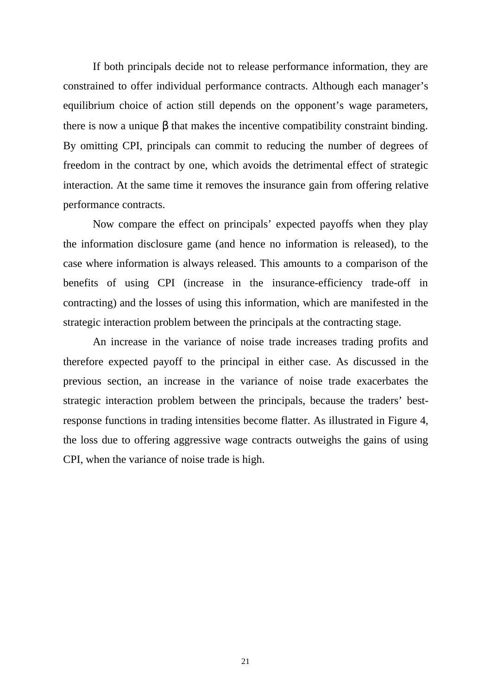If both principals decide not to release performance information, they are constrained to offer individual performance contracts. Although each manager's equilibrium choice of action still depends on the opponent's wage parameters, there is now a unique β that makes the incentive compatibility constraint binding. By omitting CPI, principals can commit to reducing the number of degrees of freedom in the contract by one, which avoids the detrimental effect of strategic interaction. At the same time it removes the insurance gain from offering relative performance contracts.

Now compare the effect on principals' expected payoffs when they play the information disclosure game (and hence no information is released), to the case where information is always released. This amounts to a comparison of the benefits of using CPI (increase in the insurance-efficiency trade-off in contracting) and the losses of using this information, which are manifested in the strategic interaction problem between the principals at the contracting stage.

An increase in the variance of noise trade increases trading profits and therefore expected payoff to the principal in either case. As discussed in the previous section, an increase in the variance of noise trade exacerbates the strategic interaction problem between the principals, because the traders' bestresponse functions in trading intensities become flatter. As illustrated in Figure 4, the loss due to offering aggressive wage contracts outweighs the gains of using CPI, when the variance of noise trade is high.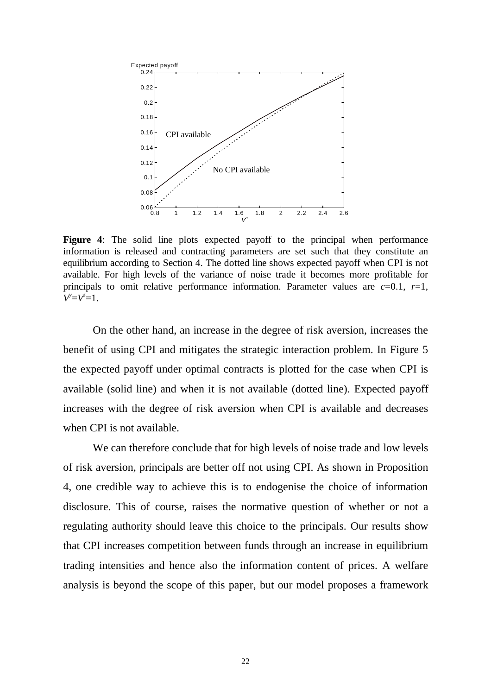

**Figure 4**: The solid line plots expected payoff to the principal when performance information is released and contracting parameters are set such that they constitute an equilibrium according to Section 4. The dotted line shows expected payoff when CPI is not available. For high levels of the variance of noise trade it becomes more profitable for principals to omit relative performance information. Parameter values are  $c=0.1$ ,  $r=1$ , *V*<sup>*y*</sup>=*V*<sup>*z*</sup>=1.

On the other hand, an increase in the degree of risk aversion, increases the benefit of using CPI and mitigates the strategic interaction problem. In Figure 5 the expected payoff under optimal contracts is plotted for the case when CPI is available (solid line) and when it is not available (dotted line). Expected payoff increases with the degree of risk aversion when CPI is available and decreases when CPI is not available.

We can therefore conclude that for high levels of noise trade and low levels of risk aversion, principals are better off not using CPI. As shown in Proposition 4, one credible way to achieve this is to endogenise the choice of information disclosure. This of course, raises the normative question of whether or not a regulating authority should leave this choice to the principals. Our results show that CPI increases competition between funds through an increase in equilibrium trading intensities and hence also the information content of prices. A welfare analysis is beyond the scope of this paper, but our model proposes a framework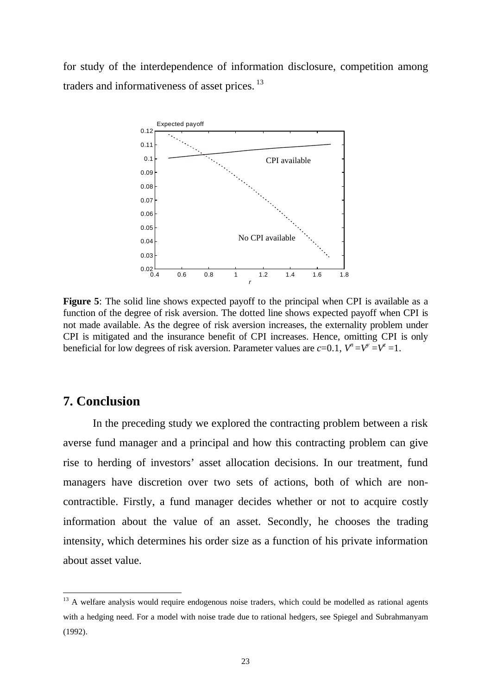for study of the interdependence of information disclosure, competition among traders and informativeness of asset prices.<sup>13</sup>



**Figure 5**: The solid line shows expected payoff to the principal when CPI is available as a function of the degree of risk aversion. The dotted line shows expected payoff when CPI is not made available. As the degree of risk aversion increases, the externality problem under CPI is mitigated and the insurance benefit of CPI increases. Hence, omitting CPI is only beneficial for low degrees of risk aversion. Parameter values are  $c=0.1$ ,  $V^i = V^i = V^i = 1$ .

## **7. Conclusion**

 $\overline{a}$ 

In the preceding study we explored the contracting problem between a risk averse fund manager and a principal and how this contracting problem can give rise to herding of investors' asset allocation decisions. In our treatment, fund managers have discretion over two sets of actions, both of which are noncontractible. Firstly, a fund manager decides whether or not to acquire costly information about the value of an asset. Secondly, he chooses the trading intensity, which determines his order size as a function of his private information about asset value.

<sup>&</sup>lt;sup>13</sup> A welfare analysis would require endogenous noise traders, which could be modelled as rational agents with a hedging need. For a model with noise trade due to rational hedgers, see Spiegel and Subrahmanyam (1992).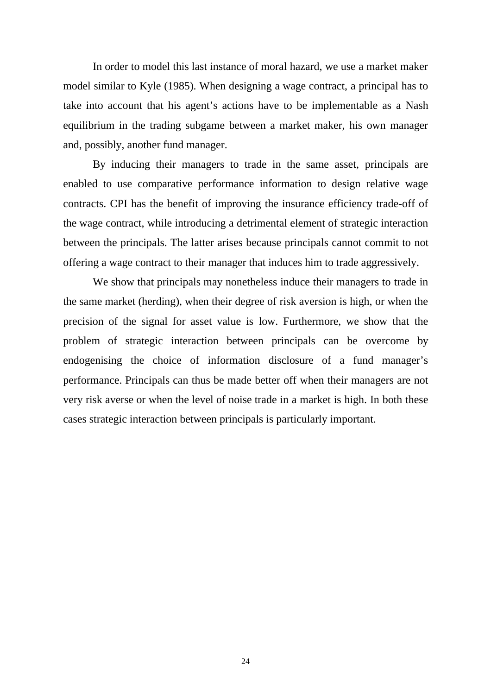In order to model this last instance of moral hazard, we use a market maker model similar to Kyle (1985). When designing a wage contract, a principal has to take into account that his agent's actions have to be implementable as a Nash equilibrium in the trading subgame between a market maker, his own manager and, possibly, another fund manager.

By inducing their managers to trade in the same asset, principals are enabled to use comparative performance information to design relative wage contracts. CPI has the benefit of improving the insurance efficiency trade-off of the wage contract, while introducing a detrimental element of strategic interaction between the principals. The latter arises because principals cannot commit to not offering a wage contract to their manager that induces him to trade aggressively.

We show that principals may nonetheless induce their managers to trade in the same market (herding), when their degree of risk aversion is high, or when the precision of the signal for asset value is low. Furthermore, we show that the problem of strategic interaction between principals can be overcome by endogenising the choice of information disclosure of a fund manager's performance. Principals can thus be made better off when their managers are not very risk averse or when the level of noise trade in a market is high. In both these cases strategic interaction between principals is particularly important.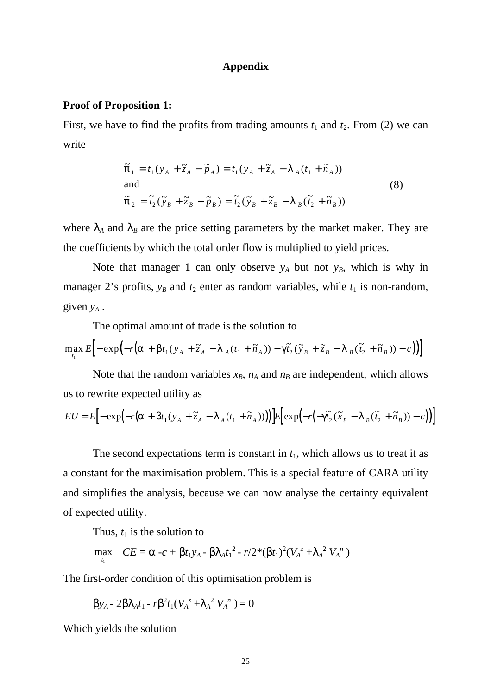#### **Appendix**

#### **Proof of Proposition 1:**

First, we have to find the profits from trading amounts  $t_1$  and  $t_2$ . From (2) we can write

$$
\tilde{\pi}_1 = t_1 (y_A + \tilde{z}_A - \tilde{p}_A) = t_1 (y_A + \tilde{z}_A - \lambda_A (t_1 + \tilde{n}_A))
$$
  
and  

$$
\tilde{\pi}_2 = \tilde{t}_2 (\tilde{y}_B + \tilde{z}_B - \tilde{p}_B) = \tilde{t}_2 (\tilde{y}_B + \tilde{z}_B - \lambda_B (\tilde{t}_2 + \tilde{n}_B))
$$
\n(8)

where  $\lambda_A$  and  $\lambda_B$  are the price setting parameters by the market maker. They are the coefficients by which the total order flow is multiplied to yield prices.

Note that manager 1 can only observe  $y_A$  but not  $y_B$ , which is why in manager 2's profits,  $y_B$  and  $t_2$  enter as random variables, while  $t_1$  is non-random, given  $y_A$ .

The optimal amount of trade is the solution to

$$
\max_{t_1} E\Big[-\exp\Bigl(-r\bigl(\alpha+\beta t_1(y_A+\widetilde{z}_A-\lambda_A(t_1+\widetilde{n}_A))-\gamma \widetilde{t}_2(\widetilde{y}_B+\widetilde{z}_B-\lambda_B(\widetilde{t}_2+\widetilde{n}_B))-c\bigr)\Bigr)\Big]
$$

Note that the random variables  $x_B$ ,  $n_A$  and  $n_B$  are independent, which allows us to rewrite expected utility as

$$
EU = E\Big[-\exp\Big(-r\big(\alpha + \beta t_1(y_A + \tilde{z}_A - \lambda_A(t_1 + \tilde{n}_A))\big)\Big)E\Big[\exp\Big(-r\big(-\gamma \tilde{t}_2(\tilde{x}_B - \lambda_B(\tilde{t}_2 + \tilde{n}_B)) - c\big)\Big)\Big]
$$

The second expectations term is constant in  $t_1$ , which allows us to treat it as a constant for the maximisation problem. This is a special feature of CARA utility and simplifies the analysis, because we can now analyse the certainty equivalent of expected utility.

Thus,  $t_1$  is the solution to

$$
\max_{t_1} \quad CE = \alpha - c + \beta t_1 y_A - \beta \lambda_A t_1^2 - r/2^* (\beta t_1)^2 (V_A^z + \lambda_A^2 V_A^N)
$$

The first-order condition of this optimisation problem is

$$
\beta y_A - 2\beta \lambda_A t_1 - r \beta^2 t_1 (V_A^z + \lambda_A^2 V_A^{\ n}) = 0
$$

Which yields the solution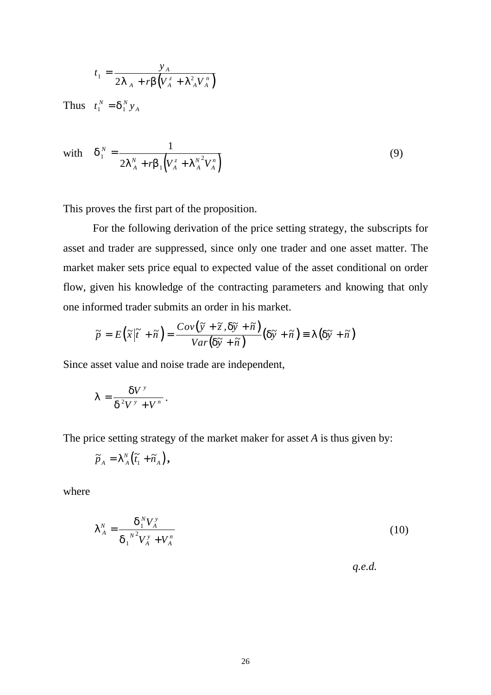$$
t_1 = \frac{y_A}{2\lambda_A + r\beta \left(V_A^z + \lambda_A^2 V_A^{\,n}\right)}
$$

Thus  $t_1^N = \delta_1^N y_A$ 

with 
$$
\delta_1^N = \frac{1}{2\lambda_A^N + r\beta_1 \left(V_A^z + \lambda_A^{N^2} V_A^n\right)}
$$
(9)

This proves the first part of the proposition.

For the following derivation of the price setting strategy, the subscripts for asset and trader are suppressed, since only one trader and one asset matter. The market maker sets price equal to expected value of the asset conditional on order flow, given his knowledge of the contracting parameters and knowing that only one informed trader submits an order in his market.

$$
\widetilde{p} = E\left(\widetilde{x}|\widetilde{t} + \widetilde{n}\right) = \frac{Cov(\widetilde{y} + \widetilde{z}, \delta \widetilde{y} + \widetilde{n})}{Var(\delta \widetilde{y} + \widetilde{n})}(\delta \widetilde{y} + \widetilde{n}) \equiv \lambda(\delta \widetilde{y} + \widetilde{n})
$$

Since asset value and noise trade are independent,

$$
\lambda = \frac{\delta V^{\nu}}{\delta^2 V^{\nu} + V^{\nu}}.
$$

The price setting strategy of the market maker for asset *A* is thus given by:

$$
\widetilde{p}_A = \lambda^N_A \big( \widetilde{t}_1 + \widetilde{n}_A \big),
$$

where

$$
\lambda_A^N = \frac{\delta_1^N V_A^{\nu}}{\delta_1^{N^2} V_A^{\nu} + V_A^n}
$$
 (10)

 *q.e.d.*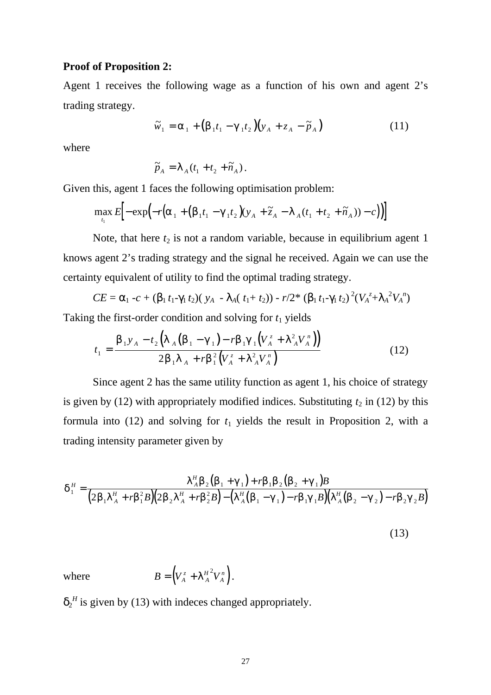#### **Proof of Proposition 2:**

Agent 1 receives the following wage as a function of his own and agent 2's trading strategy.

$$
\widetilde{w}_1 = \alpha_1 + \left(\beta_1 t_1 - \gamma_1 t_2\right) \left(y_A + z_A - \widetilde{p}_A\right) \tag{11}
$$

where

$$
\widetilde{p}_A = \lambda_A (t_1 + t_2 + \widetilde{n}_A).
$$

Given this, agent 1 faces the following optimisation problem:

$$
\max_{t_1} E\Big[-\exp\Bigl(-r\Bigl(\alpha_1+\Bigl(\beta_1t_1-\gamma_1t_2\Bigr)(y_A+\widetilde{z}_A-\lambda_A(t_1+t_2+\widetilde{n}_A))-c\Bigr)\Bigr)\Big]
$$

Note, that here  $t_2$  is not a random variable, because in equilibrium agent 1 knows agent 2's trading strategy and the signal he received. Again we can use the certainty equivalent of utility to find the optimal trading strategy.

$$
CE = \alpha_1 - c + (\beta_1 t_1 - \gamma_1 t_2)(y_A - \lambda_A(t_1 + t_2)) - r/2 * (\beta_1 t_1 - \gamma_1 t_2)^2 (V_A^z + \lambda_A^2 V_A^2)
$$

Taking the first-order condition and solving for  $t_1$  yields

$$
t_{1} = \frac{\beta_{1} y_{A} - t_{2} \left( \lambda_{A} \left( \beta_{1} - \gamma_{1} \right) - r \beta_{1} \gamma_{1} \left( V_{A}^{z} + \lambda_{A}^{2} V_{A}^{n} \right) \right)}{2 \beta_{1} \lambda_{A} + r \beta_{1}^{2} \left( V_{A}^{z} + \lambda_{A}^{2} V_{A}^{n} \right)}
$$
(12)

Since agent 2 has the same utility function as agent 1, his choice of strategy is given by (12) with appropriately modified indices. Substituting  $t_2$  in (12) by this formula into  $(12)$  and solving for  $t_1$  yields the result in Proposition 2, with a trading intensity parameter given by

$$
\delta_1^H = \frac{\lambda_A^H \beta_2 (\beta_1 + \gamma_1) + r \beta_1 \beta_2 (\beta_2 + \gamma_1)B}{(2\beta_1 \lambda_A^H + r \beta_1^2 B)(2\beta_2 \lambda_A^H + r \beta_2^2 B) - (\lambda_A^H (\beta_1 - \gamma_1) - r \beta_1 \gamma_1 B)(\lambda_A^H (\beta_2 - \gamma_2) - r \beta_2 \gamma_2 B)}
$$
\n(13)

where  $B = (V_A^z + \lambda_A^H^2 V_A^n)$ *A H*  $=\left(V_A^z+\lambda_A^{H^2}V_A^n\right).$ 

 $\delta_2^H$  is given by (13) with indeces changed appropriately.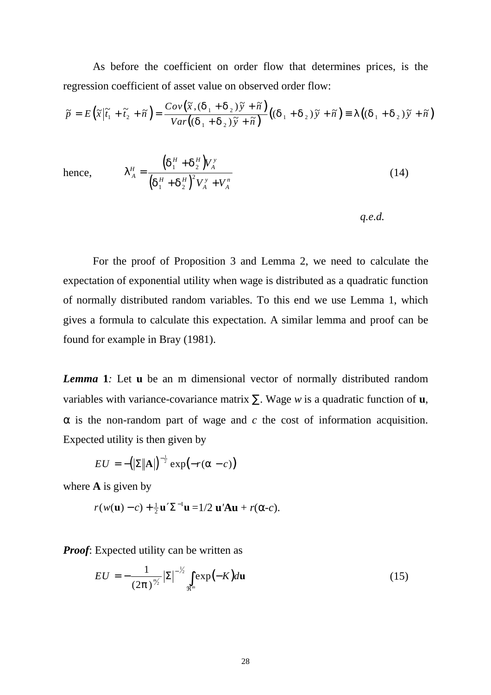As before the coefficient on order flow that determines prices, is the regression coefficient of asset value on observed order flow:

$$
\widetilde{p} = E\left(\widetilde{x}\middle|\widetilde{t}_1 + \widetilde{t}_2 + \widetilde{n}\right) = \frac{Cov\left(\widetilde{x}, \left(\delta_1 + \delta_2\right)\widetilde{y} + \widetilde{n}\right)}{Var\left(\left(\delta_1 + \delta_2\right)\widetilde{y} + \widetilde{n}\right)}\left(\left(\delta_1 + \delta_2\right)\widetilde{y} + \widetilde{n}\right) = \lambda\left(\left(\delta_1 + \delta_2\right)\widetilde{y} + \widetilde{n}\right)
$$

hence, 
$$
\lambda_A^H = \frac{(\delta_1^H + \delta_2^H)V_A^{\nu}}{(\delta_1^H + \delta_2^H)^2V_A^{\nu} + V_A^n}
$$
 (14)

*q.e.d.*

For the proof of Proposition 3 and Lemma 2, we need to calculate the expectation of exponential utility when wage is distributed as a quadratic function of normally distributed random variables. To this end we use Lemma 1, which gives a formula to calculate this expectation. A similar lemma and proof can be found for example in Bray (1981).

*Lemma* **1***:* Let **u** be an m dimensional vector of normally distributed random variables with variance-covariance matrix ∑. Wage *w* is a quadratic function of **u**,  $\alpha$  is the non-random part of wage and *c* the cost of information acquisition. Expected utility is then given by

$$
EU = -(|\Sigma||\mathbf{A}|)^{-\frac{1}{2}} \exp(-r(\alpha - c))
$$

where **A** is given by

$$
r(w(\mathbf{u})-c)+\tfrac{1}{2}\mathbf{u}'\Sigma^{-1}\mathbf{u}=1/2 \mathbf{u}'\mathbf{A}\mathbf{u}+r(\alpha-c).
$$

*Proof:* Expected utility can be written as

$$
EU = -\frac{1}{(2\pi)^{\frac{m}{2}}} |\Sigma|^{-\frac{1}{2}} \int_{\Re^m} exp(-K) du \qquad (15)
$$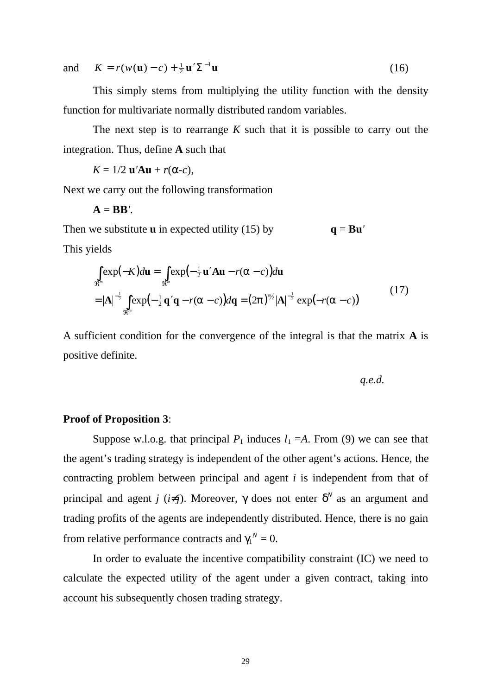and  $K = r(w(\mathbf{u}) - c) + \frac{1}{2} \mathbf{u}' \Sigma^{-1} \mathbf{u}$  $\Sigma^{-1}$ **u** (16)

This simply stems from multiplying the utility function with the density function for multivariate normally distributed random variables.

The next step is to rearrange *K* such that it is possible to carry out the integration. Thus, define **A** such that

 $K = 1/2$  **u**'**Au** + *r*(α*-c*),

Next we carry out the following transformation

$$
\mathbf{A}=\mathbf{B}\mathbf{B}^{\prime}.
$$

Then we substitute **u** in expected utility (15) by  $q = Bu'$ 

This yields

$$
\int_{\mathfrak{R}^m} \exp(-K) d\mathbf{u} = \int_{\mathfrak{R}^m} \exp(-\frac{1}{2} \mathbf{u}' \mathbf{A} \mathbf{u} - r(\alpha - c)) d\mathbf{u}
$$
\n
$$
= |\mathbf{A}|^{-\frac{1}{2}} \int_{\mathfrak{R}^m} \exp(-\frac{1}{2} \mathbf{q}' \mathbf{q} - r(\alpha - c)) d\mathbf{q} = (2\pi)^{m/2} |\mathbf{A}|^{-\frac{1}{2}} \exp(-r(\alpha - c))
$$
\n(17)

A sufficient condition for the convergence of the integral is that the matrix **A** is positive definite.

*q.e.d.*

#### **Proof of Proposition 3**:

Suppose w.l.o.g. that principal  $P_1$  induces  $l_1 = A$ . From (9) we can see that the agent's trading strategy is independent of the other agent's actions. Hence, the contracting problem between principal and agent *i* is independent from that of principal and agent *j* (*i*≠*j*). Moreover,  $\gamma$  does not enter  $\delta^N$  as an argument and trading profits of the agents are independently distributed. Hence, there is no gain from relative performance contracts and  $\gamma_1^N = 0$ .

In order to evaluate the incentive compatibility constraint (IC) we need to calculate the expected utility of the agent under a given contract, taking into account his subsequently chosen trading strategy.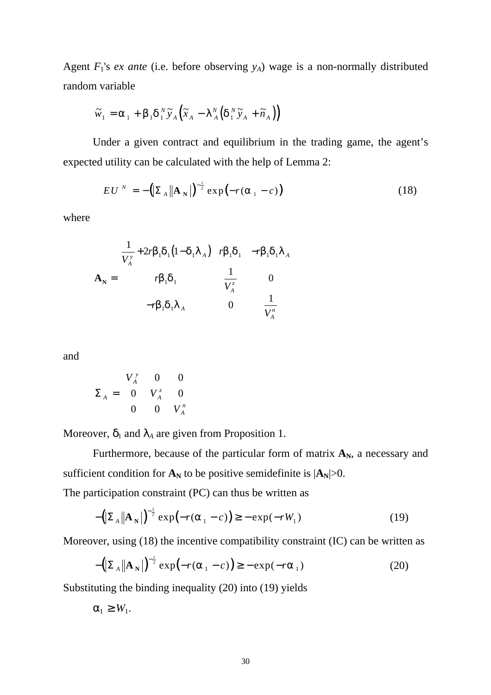Agent  $F_1$ 's *ex ante* (i.e. before observing  $y_A$ ) wage is a non-normally distributed random variable

$$
\widetilde{w}_1 = \alpha_1 + \beta_1 \delta_1^N \widetilde{y}_A (\widetilde{x}_A - \lambda_A^N (\delta_1^N \widetilde{y}_A + \widetilde{n}_A))
$$

Under a given contract and equilibrium in the trading game, the agent's expected utility can be calculated with the help of Lemma 2:

$$
EU^N = -\left(\sum_{A} \left\| \mathbf{A}_N \right\| \right)^{-\frac{1}{2}} \exp\left(-r(\alpha_1 - c)\right) \tag{18}
$$

where

$$
\mathbf{A}_{N} = \begin{bmatrix} \frac{1}{V_{A}^{y}} + 2r\beta_{1}\delta_{1}(1-\delta_{1}\lambda_{A}) & r\beta_{1}\delta_{1} & -r\beta_{1}\delta_{1}\lambda_{A} \\ r\beta_{1}\delta_{1} & \frac{1}{V_{A}^{z}} & 0 \\ -r\beta_{1}\delta_{1}\lambda_{A} & 0 & \frac{1}{V_{A}^{n}} \end{bmatrix}
$$

and

$$
\Sigma_{A} = \begin{pmatrix} V_{A}^{y} & 0 & 0 \\ 0 & V_{A}^{z} & 0 \\ 0 & 0 & V_{A}^{n} \end{pmatrix}
$$

Moreover,  $\delta_1$  and  $\lambda_A$  are given from Proposition 1.

Furthermore, because of the particular form of matrix  $A_N$ , a necessary and sufficient condition for  $A_N$  to be positive semidefinite is  $|A_N|>0$ .

The participation constraint (PC) can thus be written as

$$
-\left(\sum_{A} \|\mathbf{A}_{N}\right)^{-\frac{1}{2}} \exp\left(-r(\alpha_{1}-c)\right) \geq -\exp(-rW_{1})
$$
\n(19)

Moreover, using (18) the incentive compatibility constraint (IC) can be written as

$$
-\left(\left|\sum_{A}\right|\mathbf{A}_{N}\right)\right)^{-\frac{1}{2}}\exp\left(-r(\alpha_{1}-c)\right)\geq-\exp(-r\alpha_{1})
$$
\n(20)

Substituting the binding inequality (20) into (19) yields

 $\alpha_1 \geq W_1$ .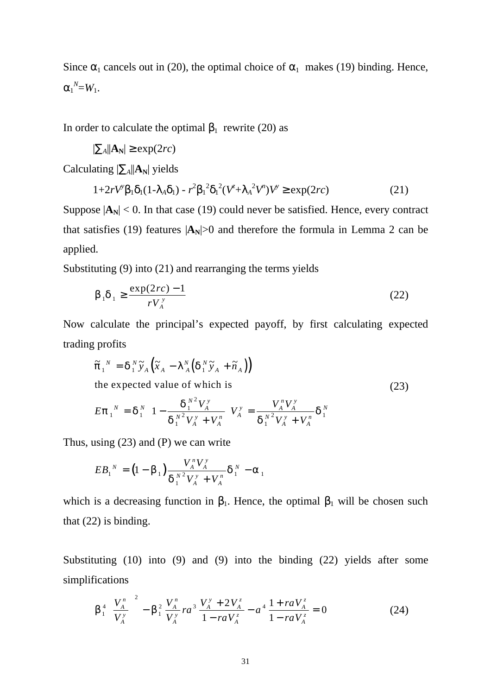Since  $\alpha_1$  cancels out in (20), the optimal choice of  $\alpha_1$  makes (19) binding. Hence,  $\alpha_1^N = W_1$ .

In order to calculate the optimal  $β_1$  rewrite (20) as

$$
|\Sigma_A||\mathbf{A}_N| \geq \exp(2rc)
$$

Calculating  $|\Sigma_A||A_N|$  yields

$$
1+2rV^{\gamma}\beta_1\delta_1(1-\lambda_A\delta_1)-r^2\beta_1^2\delta_1^2(V^{\gamma}+\lambda_A^2V^{\gamma})V^{\gamma}\geq \exp(2rc) \tag{21}
$$

Suppose  $|\mathbf{A_N}|$  < 0. In that case (19) could never be satisfied. Hence, every contract that satisfies (19) features  $|\mathbf{A_N}|>0$  and therefore the formula in Lemma 2 can be applied.

Substituting (9) into (21) and rearranging the terms yields

$$
\beta_1 \delta_1 \ge \frac{\exp(2rc) - 1}{rV_A^y} \tag{22}
$$

Now calculate the principal's expected payoff, by first calculating expected trading profits

$$
\tilde{\pi}_{1}^{N} = \delta_{1}^{N} \tilde{y}_{A} \left( \tilde{x}_{A} - \lambda_{A}^{N} \left( \delta_{1}^{N} \tilde{y}_{A} + \tilde{n}_{A} \right) \right)
$$
\nthe expected value of which is

\n
$$
E \pi_{1}^{N} = \delta_{1}^{N} \left( 1 - \frac{\delta_{1}^{N^{2}} V_{A}^{y}}{\delta_{1}^{N^{2}} V_{A}^{y} + V_{A}^{n}} \right) V_{A}^{y} = \frac{V_{A}^{N} V_{A}^{y}}{\delta_{1}^{N^{2}} V_{A}^{y} + V_{A}^{n}} \delta_{1}^{N}
$$
\n(23)

Thus, using (23) and (P) we can write

$$
EB_{1}^{N} = (1 - \beta_{1}) \frac{V_{A}^{N} V_{A}^{N}}{\delta_{1}^{N^{2}} V_{A}^{N} + V_{A}^{N}} \delta_{1}^{N} - \alpha_{1}
$$

which is a decreasing function in  $\beta_1$ . Hence, the optimal  $\beta_1$  will be chosen such that (22) is binding.

Substituting (10) into (9) and (9) into the binding (22) yields after some simplifications

$$
\beta_1^4 \left( \frac{V_A^n}{V_A^y} \right)^2 - \beta_1^2 \frac{V_A^n}{V_A^y} r a^3 \frac{V_A^y + 2V_A^z}{1 - r a V_A^z} - a^4 \frac{1 + r a V_A^z}{1 - r a V_A^z} = 0
$$
 (24)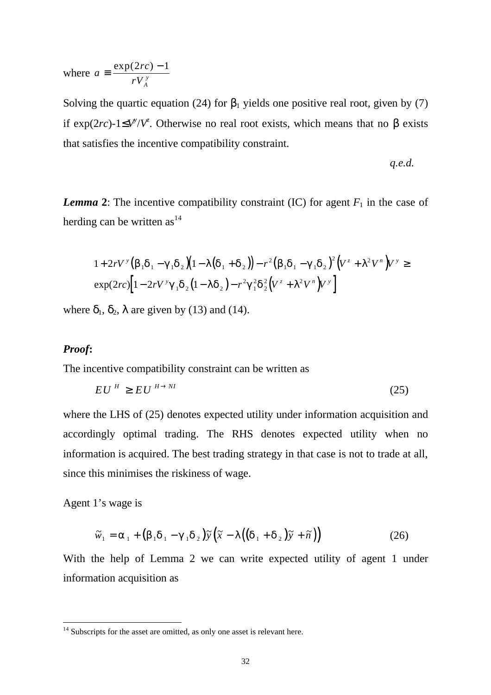where  $a = \frac{\exp(2rc)}{r^2}$  $\equiv \frac{\exp(2rc) - 1}{rV_A^y}$ 

Solving the quartic equation (24) for  $\beta_1$  yields one positive real root, given by (7) if exp(2*rc*)-1≤*V*<sup>*y*</sup>/*V*<sup>*z*</sup>. Otherwise no real root exists, which means that no β exists that satisfies the incentive compatibility constraint.

$$
q.e.d.
$$

*Lemma* 2: The incentive compatibility constraint (IC) for agent  $F_1$  in the case of herding can be written as<sup>14</sup>

$$
1 + 2rV^{\gamma} (\beta_1 \delta_1 - \gamma_1 \delta_2)(1 - \lambda(\delta_1 + \delta_2)) - r^2 (\beta_1 \delta_1 - \gamma_1 \delta_2)^2 (V^z + \lambda^2 V^n)V^{\gamma} \ge
$$
  
\n
$$
\exp(2rc)[1 - 2rV^{\gamma}\gamma_1 \delta_2(1 - \lambda \delta_2) - r^2\gamma_1^2 \delta_2^2 (V^z + \lambda^2 V^n)V^{\gamma}]
$$

where  $\delta_1$ ,  $\delta_2$ ,  $\lambda$  are given by (13) and (14).

#### *Proof***:**

The incentive compatibility constraint can be written as

$$
EU^H \ge EU^{H \to NI} \tag{25}
$$

where the LHS of (25) denotes expected utility under information acquisition and accordingly optimal trading. The RHS denotes expected utility when no information is acquired. The best trading strategy in that case is not to trade at all, since this minimises the riskiness of wage.

Agent 1's wage is

 $\overline{a}$ 

$$
\widetilde{w}_1 = \alpha_1 + (\beta_1 \delta_1 - \gamma_1 \delta_2) \widetilde{y} (\widetilde{x} - \lambda ((\delta_1 + \delta_2) \widetilde{y} + \widetilde{n}))
$$
\n(26)

With the help of Lemma 2 we can write expected utility of agent 1 under information acquisition as

 $14$  Subscripts for the asset are omitted, as only one asset is relevant here.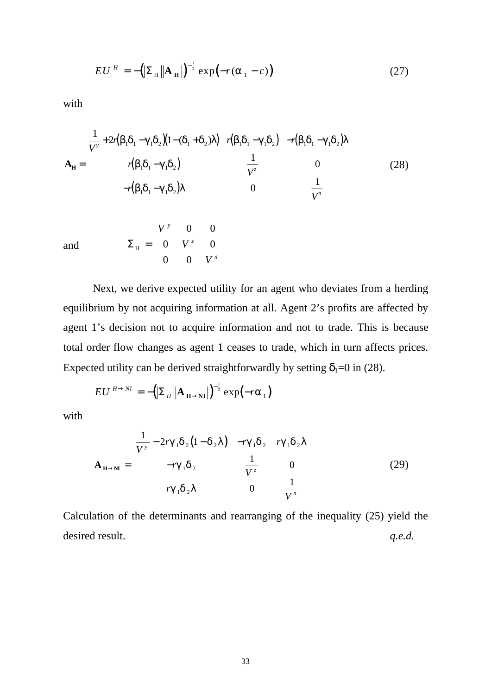$$
EU^H = -\left(\left|\sum_{\mathbf{H}}\right| \mathbf{A}_{\mathbf{H}}\right)^{-\frac{1}{2}} \exp\left(-r(\alpha_1 - c)\right) \tag{27}
$$

with

$$
\mathbf{A}_{\mathbf{H}} = \begin{bmatrix} \frac{1}{V^{\nu}} + 2r(\beta_{1}\delta_{1} - \gamma_{1}\delta_{2})(1 - (\delta_{1} + \delta_{2})\lambda) & r(\beta_{1}\delta_{1} - \gamma_{1}\delta_{2}) & -r(\beta_{1}\delta_{1} - \gamma_{1}\delta_{2})\lambda \\ r(\beta_{1}\delta_{1} - \gamma_{1}\delta_{2}) & \frac{1}{V^{z}} & 0 \\ -r(\beta_{1}\delta_{1} - \gamma_{1}\delta_{2})\lambda & 0 & \frac{1}{V^{n}} \end{bmatrix}
$$
(28)

and

$$
\Sigma_{\rm H} = \begin{bmatrix} V^{\rm y} & 0 & 0 \\ 0 & V^{\rm z} & 0 \\ 0 & 0 & V^{\rm n} \end{bmatrix}
$$

Next, we derive expected utility for an agent who deviates from a herding equilibrium by not acquiring information at all. Agent 2's profits are affected by agent 1's decision not to acquire information and not to trade. This is because total order flow changes as agent 1 ceases to trade, which in turn affects prices. Expected utility can be derived straightforwardly by setting  $\delta_1=0$  in (28).

$$
EU^{H\rightarrow NI} = -\left(\sum_{H} \|\mathbf{A}_{H\rightarrow NI}\right)^{-\frac{1}{2}} \exp(-r\alpha_{1})
$$

with

$$
\mathbf{A}_{\mathbf{H}\to\mathbf{N}} = \begin{bmatrix} \frac{1}{V^{\nu}} - 2r\gamma_{1}\delta_{2}(1-\delta_{2}\lambda) & -r\gamma_{1}\delta_{2} & r\gamma_{1}\delta_{2}\lambda \\ -r\gamma_{1}\delta_{2} & \frac{1}{V^{\tau}} & 0 \\ r\gamma_{1}\delta_{2}\lambda & 0 & \frac{1}{V^{\prime}} \end{bmatrix}
$$
(29)

Calculation of the determinants and rearranging of the inequality (25) yield the desired result. *q.e.d. q.e.d.*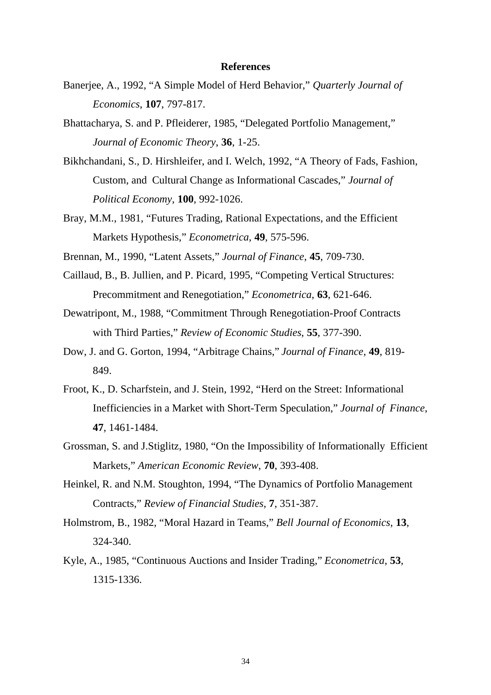#### **References**

- Banerjee, A., 1992, "A Simple Model of Herd Behavior," *Quarterly Journal of Economics*, **107**, 797-817.
- Bhattacharya, S. and P. Pfleiderer, 1985, "Delegated Portfolio Management," *Journal of Economic Theory*, **36**, 1-25.
- Bikhchandani, S., D. Hirshleifer, and I. Welch, 1992, "A Theory of Fads, Fashion, Custom, and Cultural Change as Informational Cascades," *Journal of Political Economy*, **100**, 992-1026.
- Bray, M.M., 1981, "Futures Trading, Rational Expectations, and the Efficient Markets Hypothesis," *Econometrica*, **49**, 575-596.
- Brennan, M., 1990, "Latent Assets," *Journal of Finance*, **45**, 709-730.
- Caillaud, B., B. Jullien, and P. Picard, 1995, "Competing Vertical Structures: Precommitment and Renegotiation," *Econometrica*, **63**, 621-646.
- Dewatripont, M., 1988, "Commitment Through Renegotiation-Proof Contracts with Third Parties," *Review of Economic Studies*, **55**, 377-390.
- Dow, J. and G. Gorton, 1994, "Arbitrage Chains," *Journal of Finance*, **49**, 819- 849.
- Froot, K., D. Scharfstein, and J. Stein, 1992, "Herd on the Street: Informational Inefficiencies in a Market with Short-Term Speculation," *Journal of Finance*, **47**, 1461-1484.
- Grossman, S. and J.Stiglitz, 1980, "On the Impossibility of Informationally Efficient Markets," *American Economic Review*, **70**, 393-408.
- Heinkel, R. and N.M. Stoughton, 1994, "The Dynamics of Portfolio Management Contracts," *Review of Financial Studies*, **7**, 351-387.
- Holmstrom, B., 1982, "Moral Hazard in Teams," *Bell Journal of Economics*, **13**, 324-340.
- Kyle, A., 1985, "Continuous Auctions and Insider Trading," *Econometrica*, **53**, 1315-1336.